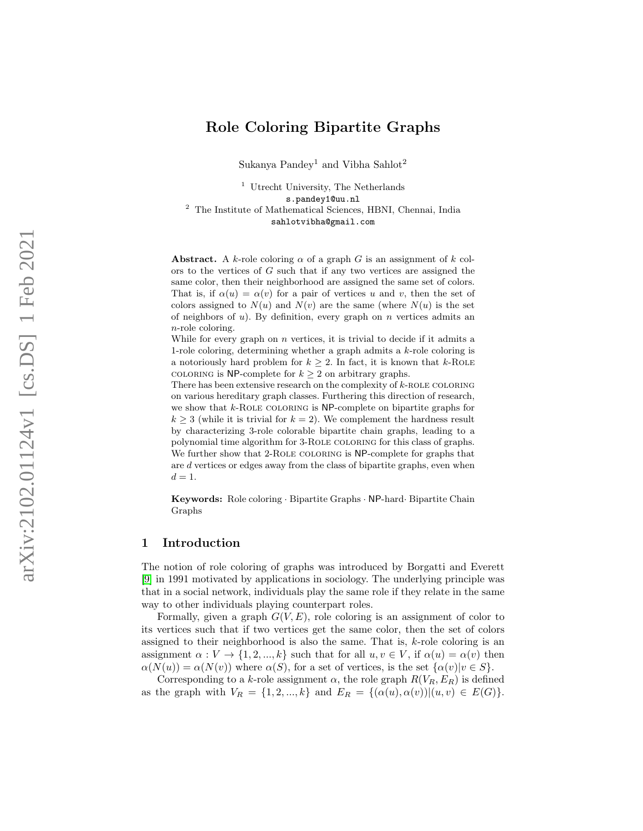# Role Coloring Bipartite Graphs

Sukanya Pandey<sup>1</sup> and Vibha Sahlot<sup>2</sup>

<sup>1</sup> Utrecht University, The Netherlands s.pandey1@uu.nl <sup>2</sup> The Institute of Mathematical Sciences, HBNI, Chennai, India sahlotvibha@gmail.com

Abstract. A k-role coloring  $\alpha$  of a graph G is an assignment of k colors to the vertices of  $G$  such that if any two vertices are assigned the same color, then their neighborhood are assigned the same set of colors. That is, if  $\alpha(u) = \alpha(v)$  for a pair of vertices u and v, then the set of colors assigned to  $N(u)$  and  $N(v)$  are the same (where  $N(u)$  is the set of neighbors of  $u$ ). By definition, every graph on  $n$  vertices admits an n-role coloring.

While for every graph on  $n$  vertices, it is trivial to decide if it admits a 1-role coloring, determining whether a graph admits a k-role coloring is a notoriously hard problem for  $k \geq 2$ . In fact, it is known that  $k$ -ROLE COLORING is NP-complete for  $k \geq 2$  on arbitrary graphs.

There has been extensive research on the complexity of  $k$ -ROLE COLORING on various hereditary graph classes. Furthering this direction of research, we show that *k*-ROLE COLORING is NP-complete on bipartite graphs for  $k \geq 3$  (while it is trivial for  $k = 2$ ). We complement the hardness result by characterizing 3-role colorable bipartite chain graphs, leading to a polynomial time algorithm for 3-Role coloring for this class of graphs. We further show that 2-ROLE COLORING is NP-complete for graphs that are d vertices or edges away from the class of bipartite graphs, even when  $d=1$ .

Keywords: Role coloring · Bipartite Graphs · NP-hard · Bipartite Chain Graphs

## 1 Introduction

The notion of role coloring of graphs was introduced by Borgatti and Everett [\[9\]](#page-16-0) in 1991 motivated by applications in sociology. The underlying principle was that in a social network, individuals play the same role if they relate in the same way to other individuals playing counterpart roles.

Formally, given a graph  $G(V, E)$ , role coloring is an assignment of color to its vertices such that if two vertices get the same color, then the set of colors assigned to their neighborhood is also the same. That is, k-role coloring is an assignment  $\alpha: V \to \{1, 2, ..., k\}$  such that for all  $u, v \in V$ , if  $\alpha(u) = \alpha(v)$  then  $\alpha(N(u)) = \alpha(N(v))$  where  $\alpha(S)$ , for a set of vertices, is the set  $\{\alpha(v)|v \in S\}$ .

Corresponding to a k-role assignment  $\alpha$ , the role graph  $R(V_R, E_R)$  is defined as the graph with  $V_R = \{1, 2, ..., k\}$  and  $E_R = \{(\alpha(u), \alpha(v)) | (u, v) \in E(G)\}.$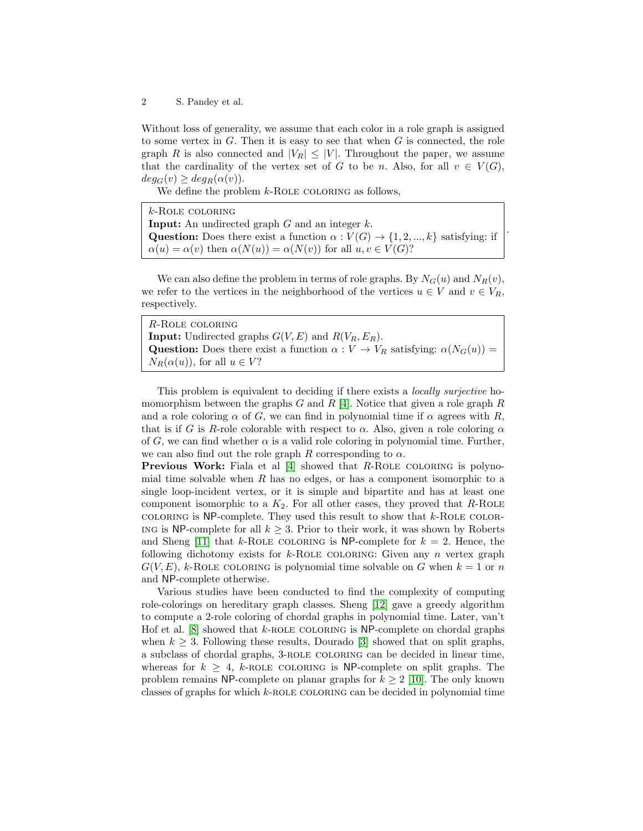Without loss of generality, we assume that each color in a role graph is assigned to some vertex in  $G$ . Then it is easy to see that when  $G$  is connected, the role graph R is also connected and  $|V_R| \leq |V|$ . Throughout the paper, we assume that the cardinality of the vertex set of G to be n. Also, for all  $v \in V(G)$ ,  $deg_G(v) \geq deg_R(\alpha(v)).$ 

We define the problem  $k$ -ROLE COLORING as follows,

| $k$ -ROLE COLORING                                                                            |
|-----------------------------------------------------------------------------------------------|
| <b>Input:</b> An undirected graph $G$ and an integer $k$ .                                    |
| <b>Question:</b> Does there exist a function $\alpha : V(G) \to \{1, 2, , k\}$ satisfying: if |
| $\alpha(u) = \alpha(v)$ then $\alpha(N(u)) = \alpha(N(v))$ for all $u, v \in V(G)$ ?          |

.

We can also define the problem in terms of role graphs. By  $N_G(u)$  and  $N_R(v)$ , we refer to the vertices in the neighborhood of the vertices  $u \in V$  and  $v \in V_R$ , respectively.

| R-ROLE COLORING                                                                                 |
|-------------------------------------------------------------------------------------------------|
| <b>Input:</b> Undirected graphs $G(V, E)$ and $R(V_R, E_R)$ .                                   |
| <b>Question:</b> Does there exist a function $\alpha: V \to V_R$ satisfying: $\alpha(N_G(u))$ = |
| $N_R(\alpha(u))$ , for all $u \in V$ ?                                                          |

This problem is equivalent to deciding if there exists a *locally surjective* homomorphism between the graphs  $G$  and  $R$  [\[4\]](#page-15-0). Notice that given a role graph  $R$ and a role coloring  $\alpha$  of G, we can find in polynomial time if  $\alpha$  agrees with R, that is if G is R-role colorable with respect to  $\alpha$ . Also, given a role coloring  $\alpha$ of G, we can find whether  $\alpha$  is a valid role coloring in polynomial time. Further, we can also find out the role graph R corresponding to  $\alpha$ .

Previous Work: Fiala et al [\[4\]](#page-15-0) showed that R-ROLE COLORING is polynomial time solvable when  $R$  has no edges, or has a component isomorphic to a single loop-incident vertex, or it is simple and bipartite and has at least one component isomorphic to a  $K_2$ . For all other cases, they proved that R-ROLE COLORING is  $NP$ -complete. They used this result to show that  $k$ -ROLE COLOR-ING is NP-complete for all  $k \geq 3$ . Prior to their work, it was shown by Roberts and Sheng [\[11\]](#page-16-1) that k-ROLE COLORING is NP-complete for  $k = 2$ . Hence, the following dichotomy exists for  $k$ -ROLE COLORING: Given any n vertex graph  $G(V, E)$ , k-ROLE COLORING is polynomial time solvable on G when  $k = 1$  or n and NP-complete otherwise.

Various studies have been conducted to find the complexity of computing role-colorings on hereditary graph classes. Sheng [\[12\]](#page-16-2) gave a greedy algorithm to compute a 2-role coloring of chordal graphs in polynomial time. Later, van't Hof et al.  $[8]$  showed that  $k$ -ROLE COLORING is NP-complete on chordal graphs when  $k \geq 3$ . Following these results, Dourado [\[3\]](#page-15-1) showed that on split graphs, a subclass of chordal graphs, 3-role coloring can be decided in linear time, whereas for  $k \geq 4$ , k-ROLE COLORING is NP-complete on split graphs. The problem remains NP-complete on planar graphs for  $k \geq 2$  [\[10\]](#page-16-4). The only known classes of graphs for which  $k$ -ROLE COLORING can be decided in polynomial time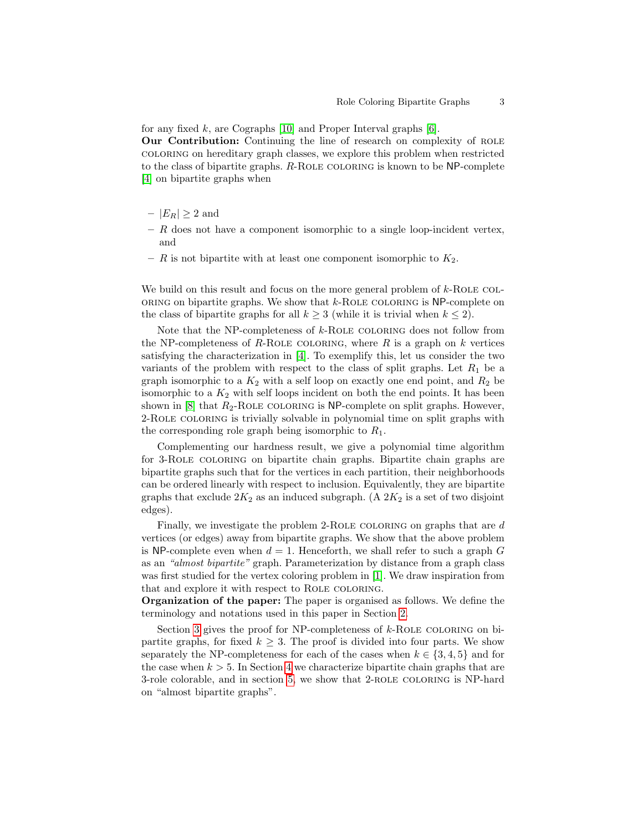for any fixed k, are Cographs [\[10\]](#page-16-4) and Proper Interval graphs  $[6]$ .

Our Contribution: Continuing the line of research on complexity of role coloring on hereditary graph classes, we explore this problem when restricted to the class of bipartite graphs. R-Role coloring is known to be NP-complete [\[4\]](#page-15-0) on bipartite graphs when

- $-|E_R| \geq 2$  and
- $R$  does not have a component isomorphic to a single loop-incident vertex, and
- R is not bipartite with at least one component isomorphic to  $K_2$ .

We build on this result and focus on the more general problem of  $k$ -ROLE COL- $ORING$  on bipartite graphs. We show that  $k$ -ROLE COLORING is  $NP$ -complete on the class of bipartite graphs for all  $k \geq 3$  (while it is trivial when  $k \leq 2$ ).

Note that the NP-completeness of  $k$ -ROLE COLORING does not follow from the NP-completeness of R-ROLE COLORING, where R is a graph on  $k$  vertices satisfying the characterization in [\[4\]](#page-15-0). To exemplify this, let us consider the two variants of the problem with respect to the class of split graphs. Let  $R_1$  be a graph isomorphic to a  $K_2$  with a self loop on exactly one end point, and  $R_2$  be isomorphic to a  $K_2$  with self loops incident on both the end points. It has been shown in  $[8]$  that  $R_2$ -ROLE COLORING is NP-complete on split graphs. However, 2-Role coloring is trivially solvable in polynomial time on split graphs with the corresponding role graph being isomorphic to  $R_1$ .

Complementing our hardness result, we give a polynomial time algorithm for 3-Role coloring on bipartite chain graphs. Bipartite chain graphs are bipartite graphs such that for the vertices in each partition, their neighborhoods can be ordered linearly with respect to inclusion. Equivalently, they are bipartite graphs that exclude  $2K_2$  as an induced subgraph. (A  $2K_2$  is a set of two disjoint edges).

Finally, we investigate the problem 2-ROLE COLORING on graphs that are  $d$ vertices (or edges) away from bipartite graphs. We show that the above problem is NP-complete even when  $d = 1$ . Henceforth, we shall refer to such a graph G as an "almost bipartite" graph. Parameterization by distance from a graph class was first studied for the vertex coloring problem in [\[1\]](#page-15-2). We draw inspiration from that and explore it with respect to ROLE COLORING.

Organization of the paper: The paper is organised as follows. We define the terminology and notations used in this paper in Section [2.](#page-3-0)

Section [3](#page-3-1) gives the proof for NP-completeness of  $k$ -ROLE COLORING on bipartite graphs, for fixed  $k > 3$ . The proof is divided into four parts. We show separately the NP-completeness for each of the cases when  $k \in \{3, 4, 5\}$  and for the case when  $k > 5$ . In Section [4](#page-11-0) we characterize bipartite chain graphs that are 3-role colorable, and in section [5,](#page-14-0) we show that 2-ROLE COLORING is NP-hard on "almost bipartite graphs".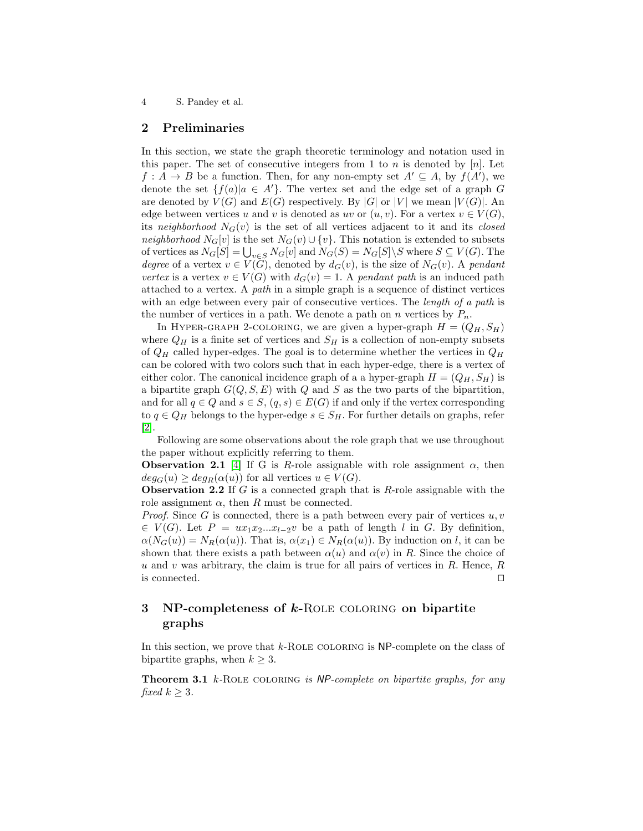#### <span id="page-3-0"></span>2 Preliminaries

In this section, we state the graph theoretic terminology and notation used in this paper. The set of consecutive integers from 1 to n is denoted by  $[n]$ . Let  $f: A \to B$  be a function. Then, for any non-empty set  $A' \subseteq A$ , by  $f(A')$ , we denote the set  $\{f(a)|a \in A'\}$ . The vertex set and the edge set of a graph G are denoted by  $V(G)$  and  $E(G)$  respectively. By |G| or |V| we mean |V(G)|. An edge between vertices u and v is denoted as uv or  $(u, v)$ . For a vertex  $v \in V(G)$ , its neighborhood  $N_G(v)$  is the set of all vertices adjacent to it and its closed neighborhood  $N_G[v]$  is the set  $N_G(v) \cup \{v\}$ . This notation is extended to subsets of vertices as  $N_G[S] = \bigcup_{v \in S} N_G[v]$  and  $N_G(S) = N_G[S] \backslash S$  where  $S \subseteq V(G)$ . The degree of a vertex  $v \in V(\bar{G})$ , denoted by  $d_G(v)$ , is the size of  $N_G(v)$ . A pendant vertex is a vertex  $v \in V(G)$  with  $d_G(v) = 1$ . A pendant path is an induced path attached to a vertex. A path in a simple graph is a sequence of distinct vertices with an edge between every pair of consecutive vertices. The *length of a path* is the number of vertices in a path. We denote a path on n vertices by  $P_n$ .

In HYPER-GRAPH 2-COLORING, we are given a hyper-graph  $H = (Q_H, S_H)$ where  $Q_H$  is a finite set of vertices and  $S_H$  is a collection of non-empty subsets of  $Q_H$  called hyper-edges. The goal is to determine whether the vertices in  $Q_H$ can be colored with two colors such that in each hyper-edge, there is a vertex of either color. The canonical incidence graph of a a hyper-graph  $H = (Q_H, S_H)$  is a bipartite graph  $G(Q, S, E)$  with Q and S as the two parts of the bipartition, and for all  $q \in Q$  and  $s \in S$ ,  $(q, s) \in E(G)$  if and only if the vertex corresponding to  $q \in Q_H$  belongs to the hyper-edge  $s \in S_H$ . For further details on graphs, refer [\[2\]](#page-15-3).

Following are some observations about the role graph that we use throughout the paper without explicitly referring to them.

**Observation 2.1** [\[4\]](#page-15-0) If G is R-role assignable with role assignment  $\alpha$ , then  $deg_G(u) \geq deg_R(\alpha(u))$  for all vertices  $u \in V(G)$ .

**Observation 2.2** If  $G$  is a connected graph that is  $R$ -role assignable with the role assignment  $\alpha$ , then R must be connected.

*Proof.* Since G is connected, there is a path between every pair of vertices  $u, v$ ∈  $V(G)$ . Let  $P = ux_1x_2...x_{l-2}v$  be a path of length l in G. By definition,  $\alpha(N_G(u)) = N_R(\alpha(u))$ . That is,  $\alpha(x_1) \in N_R(\alpha(u))$ . By induction on l, it can be shown that there exists a path between  $\alpha(u)$  and  $\alpha(v)$  in R. Since the choice of  $u$  and  $v$  was arbitrary, the claim is true for all pairs of vertices in  $R$ . Hence,  $R$ is connected.  $\Box$ 

# <span id="page-3-1"></span>3 NP-completeness of k-ROLE COLORING on bipartite graphs

In this section, we prove that  $k$ -ROLE COLORING is NP-complete on the class of bipartite graphs, when  $k \geq 3$ .

<span id="page-3-2"></span>**Theorem 3.1**  $k$ -ROLE COLORING is NP-complete on bipartite graphs, for any fixed  $k \geq 3$ .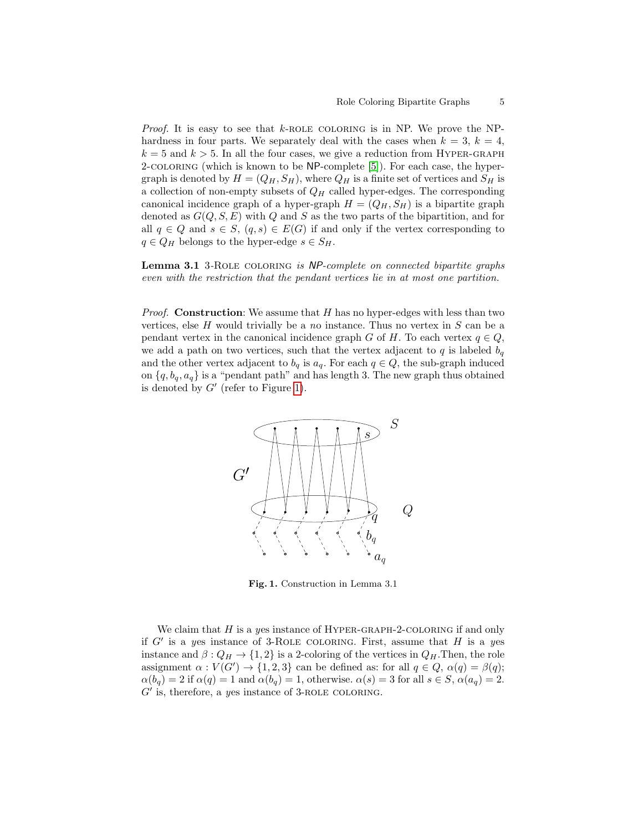*Proof.* It is easy to see that  $k$ -ROLE COLORING is in NP. We prove the NPhardness in four parts. We separately deal with the cases when  $k = 3, k = 4$ ,  $k = 5$  and  $k > 5$ . In all the four cases, we give a reduction from HYPER-GRAPH 2-coloring (which is known to be NP-complete [\[5\]](#page-16-6)). For each case, the hypergraph is denoted by  $H = (Q_H, S_H)$ , where  $Q_H$  is a finite set of vertices and  $S_H$  is a collection of non-empty subsets of  $Q_H$  called hyper-edges. The corresponding canonical incidence graph of a hyper-graph  $H = (Q_H, S_H)$  is a bipartite graph denoted as  $G(Q, S, E)$  with Q and S as the two parts of the bipartition, and for all  $q \in Q$  and  $s \in S$ ,  $(q, s) \in E(G)$  if and only if the vertex corresponding to  $q \in Q_H$  belongs to the hyper-edge  $s \in S_H$ .

Lemma 3.1 3-ROLE COLORING is NP-complete on connected bipartite graphs even with the restriction that the pendant vertices lie in at most one partition.

*Proof.* Construction: We assume that  $H$  has no hyper-edges with less than two vertices, else  $H$  would trivially be a no instance. Thus no vertex in  $S$  can be a pendant vertex in the canonical incidence graph G of H. To each vertex  $q \in Q$ , we add a path on two vertices, such that the vertex adjacent to q is labeled  $b_q$ and the other vertex adjacent to  $b_q$  is  $a_q$ . For each  $q \in Q$ , the sub-graph induced on  $\{q, b_q, a_q\}$  is a "pendant path" and has length 3. The new graph thus obtained is denoted by  $G'$  (refer to Figure [1\)](#page-4-0).



<span id="page-4-0"></span>Fig. 1. Construction in Lemma 3.1

We claim that  $H$  is a yes instance of HYPER-GRAPH-2-COLORING if and only if  $G'$  is a yes instance of 3-ROLE COLORING. First, assume that  $H$  is a yes instance and  $\beta: Q_H \to \{1,2\}$  is a 2-coloring of the vertices in  $Q_H$ . Then, the role assignment  $\alpha : V(G') \to \{1,2,3\}$  can be defined as: for all  $q \in Q$ ,  $\alpha(q) = \beta(q)$ ;  $\alpha(b_q) = 2$  if  $\alpha(q) = 1$  and  $\alpha(b_q) = 1$ , otherwise.  $\alpha(s) = 3$  for all  $s \in S$ ,  $\alpha(a_q) = 2$ .  $G'$  is, therefore, a yes instance of 3-ROLE COLORING.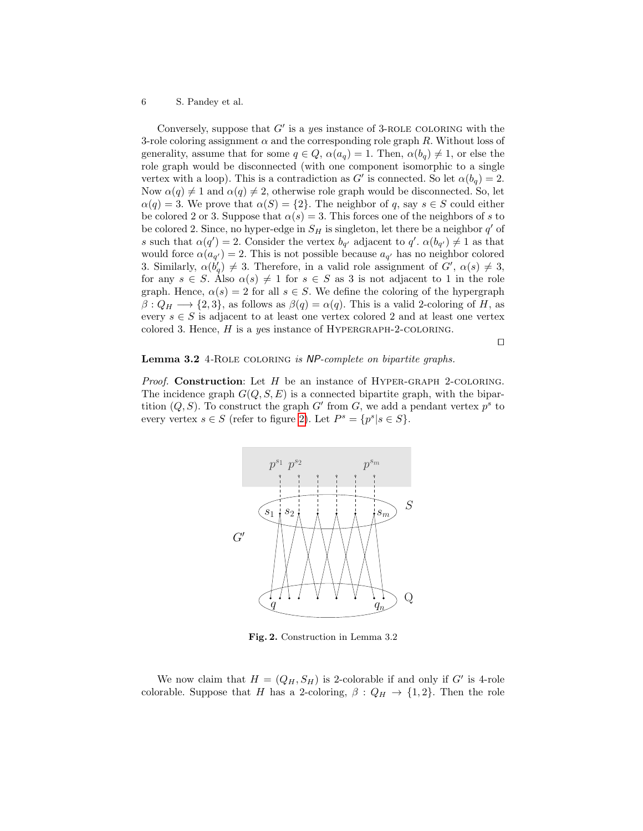Conversely, suppose that  $G'$  is a yes instance of 3-ROLE COLORING with the 3-role coloring assignment  $\alpha$  and the corresponding role graph R. Without loss of generality, assume that for some  $q \in Q$ ,  $\alpha(a_q) = 1$ . Then,  $\alpha(b_q) \neq 1$ , or else the role graph would be disconnected (with one component isomorphic to a single vertex with a loop). This is a contradiction as  $G'$  is connected. So let  $\alpha(b_q) = 2$ . Now  $\alpha(q) \neq 1$  and  $\alpha(q) \neq 2$ , otherwise role graph would be disconnected. So, let  $\alpha(q) = 3$ . We prove that  $\alpha(S) = \{2\}$ . The neighbor of q, say  $s \in S$  could either be colored 2 or 3. Suppose that  $\alpha(s) = 3$ . This forces one of the neighbors of s to be colored 2. Since, no hyper-edge in  $S_H$  is singleton, let there be a neighbor  $q'$  of s such that  $\alpha(q') = 2$ . Consider the vertex  $b_{q'}$  adjacent to  $q'$ .  $\alpha(b_{q'}) \neq 1$  as that would force  $\alpha(a_{q'}) = 2$ . This is not possible because  $a_{q'}$  has no neighbor colored 3. Similarly,  $\alpha(b'_q) \neq 3$ . Therefore, in a valid role assignment of  $G'$ ,  $\alpha(s) \neq 3$ , for any  $s \in S$ . Also  $\alpha(s) \neq 1$  for  $s \in S$  as 3 is not adjacent to 1 in the role graph. Hence,  $\alpha(s) = 2$  for all  $s \in S$ . We define the coloring of the hypergraph  $\beta: Q_H \longrightarrow \{2,3\}$ , as follows as  $\beta(q) = \alpha(q)$ . This is a valid 2-coloring of H, as every  $s \in S$  is adjacent to at least one vertex colored 2 and at least one vertex colored 3. Hence,  $H$  is a yes instance of HYPERGRAPH-2-COLORING.

 $\Box$ 

#### Lemma 3.2 4-ROLE COLORING is NP-complete on bipartite graphs.

*Proof.* Construction: Let  $H$  be an instance of HYPER-GRAPH 2-COLORING. The incidence graph  $G(Q, S, E)$  is a connected bipartite graph, with the bipartition  $(Q, S)$ . To construct the graph G' from G, we add a pendant vertex  $p<sup>s</sup>$  to every vertex  $s \in S$  (refer to figure [2\)](#page-5-0). Let  $P^s = \{p^s | s \in S\}.$ 



<span id="page-5-0"></span>Fig. 2. Construction in Lemma 3.2

We now claim that  $H = (Q_H, S_H)$  is 2-colorable if and only if G' is 4-role colorable. Suppose that H has a 2-coloring,  $\beta: Q_H \to \{1,2\}$ . Then the role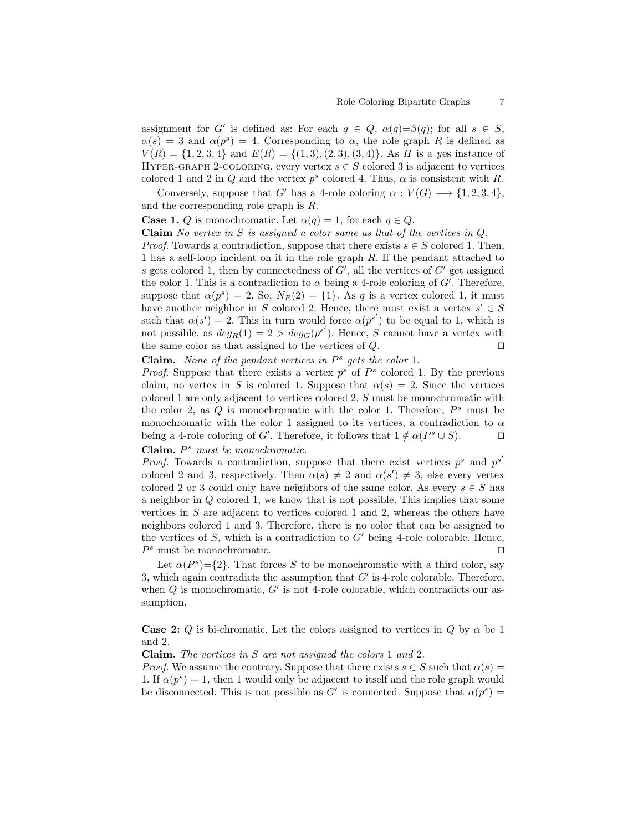assignment for G' is defined as: For each  $q \in Q$ ,  $\alpha(q) = \beta(q)$ ; for all  $s \in S$ ,  $\alpha(s) = 3$  and  $\alpha(p^s) = 4$ . Corresponding to  $\alpha$ , the role graph R is defined as  $V(R) = \{1, 2, 3, 4\}$  and  $E(R) = \{(1, 3), (2, 3), (3, 4)\}.$  As H is a yes instance of HYPER-GRAPH 2-COLORING, every vertex  $s \in S$  colored 3 is adjacent to vertices colored 1 and 2 in Q and the vertex  $p^s$  colored 4. Thus,  $\alpha$  is consistent with R.

Conversely, suppose that G' has a 4-role coloring  $\alpha : V(G) \longrightarrow \{1, 2, 3, 4\},\$ and the corresponding role graph is R.

**Case 1.** Q is monochromatic. Let  $\alpha(q) = 1$ , for each  $q \in Q$ .

**Claim** No vertex in S is assigned a color same as that of the vertices in  $Q$ .

*Proof.* Towards a contradiction, suppose that there exists  $s \in S$  colored 1. Then, 1 has a self-loop incident on it in the role graph R. If the pendant attached to s gets colored 1, then by connectedness of  $G'$ , all the vertices of  $G'$  get assigned the color 1. This is a contradiction to  $\alpha$  being a 4-role coloring of  $G'$ . Therefore, suppose that  $\alpha(p^s) = 2$ . So,  $N_R(2) = \{1\}$ . As q is a vertex colored 1, it must have another neighbor in S colored 2. Hence, there must exist a vertex  $s' \in S$ such that  $\alpha(s') = 2$ . This in turn would force  $\alpha(p^{s'})$  to be equal to 1, which is not possible, as  $deg_R(1) = 2 > deg_G(p^{s'})$ . Hence, S cannot have a vertex with the same color as that assigned to the vertices of  $Q$ .

## Claim. None of the pendant vertices in  $P^s$  gets the color 1.

*Proof.* Suppose that there exists a vertex  $p^s$  of  $P^s$  colored 1. By the previous claim, no vertex in S is colored 1. Suppose that  $\alpha(s) = 2$ . Since the vertices colored 1 are only adjacent to vertices colored 2, S must be monochromatic with the color 2, as  $Q$  is monochromatic with the color 1. Therefore,  $P^s$  must be monochromatic with the color 1 assigned to its vertices, a contradiction to  $\alpha$ being a 4-role coloring of G'. Therefore, it follows that  $1 \notin \alpha(P^s \cup S)$ .

Claim.  $P^s$  must be monochromatic.

*Proof.* Towards a contradiction, suppose that there exist vertices  $p^s$  and  $p^{s'}$ colored 2 and 3, respectively. Then  $\alpha(s) \neq 2$  and  $\alpha(s') \neq 3$ , else every vertex colored 2 or 3 could only have neighbors of the same color. As every  $s \in S$  has a neighbor in Q colored 1, we know that is not possible. This implies that some vertices in  $S$  are adjacent to vertices colored 1 and 2, whereas the others have neighbors colored 1 and 3. Therefore, there is no color that can be assigned to the vertices of  $S$ , which is a contradiction to  $G'$  being 4-role colorable. Hence,  $P^s$  must be monochromatic.

Let  $\alpha(P^s) = \{2\}$ . That forces S to be monochromatic with a third color, say 3, which again contradicts the assumption that  $G'$  is 4-role colorable. Therefore, when  $Q$  is monochromatic,  $G'$  is not 4-role colorable, which contradicts our assumption.

**Case 2:** Q is bi-chromatic. Let the colors assigned to vertices in Q by  $\alpha$  be 1 and 2.

Claim. The vertices in S are not assigned the colors 1 and 2.

*Proof.* We assume the contrary. Suppose that there exists  $s \in S$  such that  $\alpha(s) =$ 1. If  $\alpha(p^s) = 1$ , then 1 would only be adjacent to itself and the role graph would be disconnected. This is not possible as  $G'$  is connected. Suppose that  $\alpha(p^s)$  =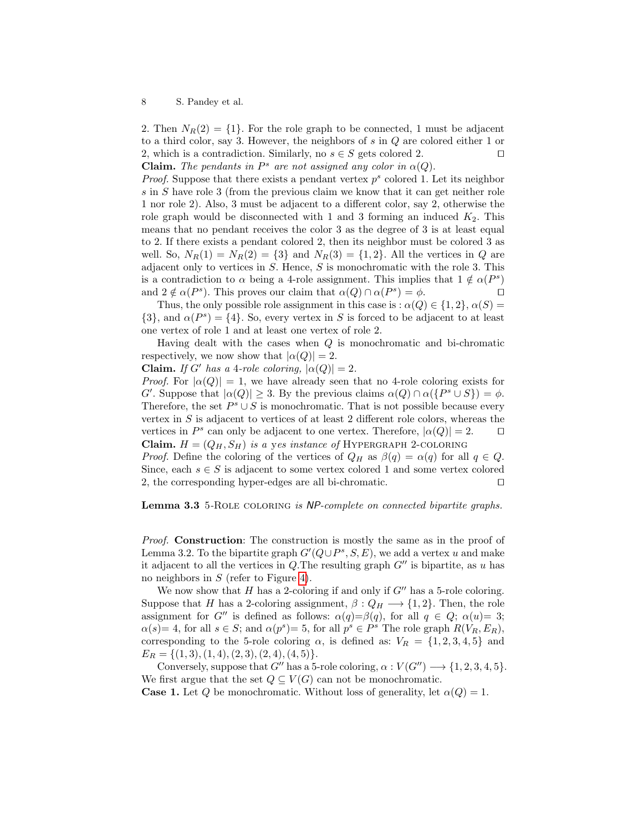2. Then  $N_R(2) = \{1\}$ . For the role graph to be connected, 1 must be adjacent to a third color, say 3. However, the neighbors of s in Q are colored either 1 or 2, which is a contradiction. Similarly, no  $s \in S$  gets colored 2. **Claim.** The pendants in  $P^s$  are not assigned any color in  $\alpha(Q)$ .

*Proof.* Suppose that there exists a pendant vertex  $p^s$  colored 1. Let its neighbor s in S have role 3 (from the previous claim we know that it can get neither role 1 nor role 2). Also, 3 must be adjacent to a different color, say 2, otherwise the role graph would be disconnected with 1 and 3 forming an induced  $K_2$ . This means that no pendant receives the color 3 as the degree of 3 is at least equal to 2. If there exists a pendant colored 2, then its neighbor must be colored 3 as well. So,  $N_R(1) = N_R(2) = \{3\}$  and  $N_R(3) = \{1, 2\}$ . All the vertices in Q are adjacent only to vertices in  $S$ . Hence,  $S$  is monochromatic with the role 3. This is a contradiction to  $\alpha$  being a 4-role assignment. This implies that  $1 \notin \alpha(P^s)$ and  $2 \notin \alpha(P^s)$ . This proves our claim that  $\alpha(Q) \cap \alpha(P^s) = \phi$ .

Thus, the only possible role assignment in this case is :  $\alpha(Q) \in \{1,2\}, \alpha(S) =$  $\{3\}$ , and  $\alpha(P^s) = \{4\}$ . So, every vertex in S is forced to be adjacent to at least one vertex of role 1 and at least one vertex of role 2.

Having dealt with the cases when Q is monochromatic and bi-chromatic respectively, we now show that  $|\alpha(Q)| = 2$ .

**Claim.** If G' has a 4-role coloring,  $|\alpha(Q)| = 2$ .

*Proof.* For  $|\alpha(Q)| = 1$ , we have already seen that no 4-role coloring exists for G'. Suppose that  $|\alpha(Q)| \geq 3$ . By the previous claims  $\alpha(Q) \cap \alpha({P^s \cup S}) = \phi$ . Therefore, the set  $P^s \cup S$  is monochromatic. That is not possible because every vertex in  $S$  is adjacent to vertices of at least 2 different role colors, whereas the vertices in  $P^s$  can only be adjacent to one vertex. Therefore,  $|\alpha(Q)| = 2$ .  $\Box$ Claim.  $H = (Q_H, S_H)$  is a yes instance of HYPERGRAPH 2-COLORING

*Proof.* Define the coloring of the vertices of  $Q_H$  as  $\beta(q) = \alpha(q)$  for all  $q \in Q$ . Since, each  $s \in S$  is adjacent to some vertex colored 1 and some vertex colored 2, the corresponding hyper-edges are all bi-chromatic.  $\Box$ 

<span id="page-7-0"></span>Lemma 3.3 5-ROLE COLORING is NP-complete on connected bipartite graphs.

*Proof.* Construction: The construction is mostly the same as in the proof of Lemma 3.2. To the bipartite graph  $G'(Q \cup P^s, S, E)$ , we add a vertex u and make it adjacent to all the vertices in Q.The resulting graph  $G''$  is bipartite, as u has no neighbors in S (refer to Figure [4\)](#page-10-0).

We now show that H has a 2-coloring if and only if  $G''$  has a 5-role coloring. Suppose that H has a 2-coloring assignment,  $\beta: Q_H \longrightarrow \{1,2\}$ . Then, the role assignment for G'' is defined as follows:  $\alpha(q)=\beta(q)$ , for all  $q \in Q$ ;  $\alpha(u)=3$ ;  $\alpha(s) = 4$ , for all  $s \in S$ ; and  $\alpha(p^s) = 5$ , for all  $p^s \in P^s$  The role graph  $R(V_R, E_R)$ , corresponding to the 5-role coloring  $\alpha$ , is defined as:  $V_R = \{1, 2, 3, 4, 5\}$  and  $E_R = \{(1,3), (1,4), (2,3), (2,4), (4,5)\}.$ 

Conversely, suppose that  $G''$  has a 5-role coloring,  $\alpha : V(G'') \longrightarrow \{1, 2, 3, 4, 5\}.$ We first argue that the set  $Q \subseteq V(G)$  can not be monochromatic.

**Case 1.** Let Q be monochromatic. Without loss of generality, let  $\alpha(Q) = 1$ .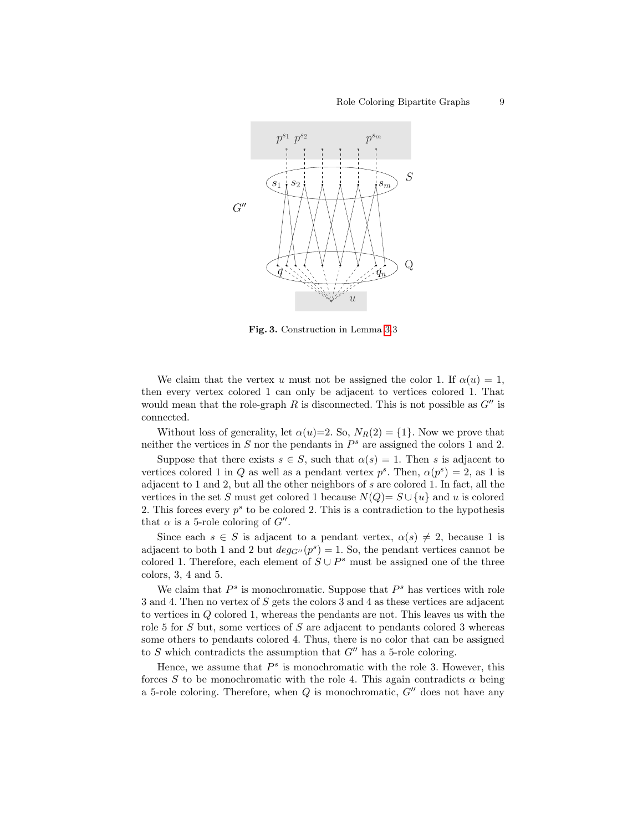

Fig. 3. Construction in Lemma [3.](#page-7-0)3

We claim that the vertex u must not be assigned the color 1. If  $\alpha(u) = 1$ , then every vertex colored 1 can only be adjacent to vertices colored 1. That would mean that the role-graph R is disconnected. This is not possible as  $G''$  is connected.

Without loss of generality, let  $\alpha(u)=2$ . So,  $N_R(2) = \{1\}$ . Now we prove that neither the vertices in  $S$  nor the pendants in  $P^s$  are assigned the colors 1 and 2.

Suppose that there exists  $s \in S$ , such that  $\alpha(s) = 1$ . Then s is adjacent to vertices colored 1 in Q as well as a pendant vertex  $p^s$ . Then,  $\alpha(p^s) = 2$ , as 1 is adjacent to 1 and 2, but all the other neighbors of s are colored 1. In fact, all the vertices in the set S must get colored 1 because  $N(Q) = S \cup \{u\}$  and u is colored 2. This forces every  $p^s$  to be colored 2. This is a contradiction to the hypothesis that  $\alpha$  is a 5-role coloring of  $G''$ .

Since each  $s \in S$  is adjacent to a pendant vertex,  $\alpha(s) \neq 2$ , because 1 is adjacent to both 1 and 2 but  $deg_{G''}(p^s) = 1$ . So, the pendant vertices cannot be colored 1. Therefore, each element of  $S \cup P^s$  must be assigned one of the three colors, 3, 4 and 5.

We claim that  $P<sup>s</sup>$  is monochromatic. Suppose that  $P<sup>s</sup>$  has vertices with role 3 and 4. Then no vertex of S gets the colors 3 and 4 as these vertices are adjacent to vertices in Q colored 1, whereas the pendants are not. This leaves us with the role 5 for S but, some vertices of S are adjacent to pendants colored 3 whereas some others to pendants colored 4. Thus, there is no color that can be assigned to S which contradicts the assumption that  $G''$  has a 5-role coloring.

Hence, we assume that  $P^s$  is monochromatic with the role 3. However, this forces S to be monochromatic with the role 4. This again contradicts  $\alpha$  being a 5-role coloring. Therefore, when  $Q$  is monochromatic,  $G''$  does not have any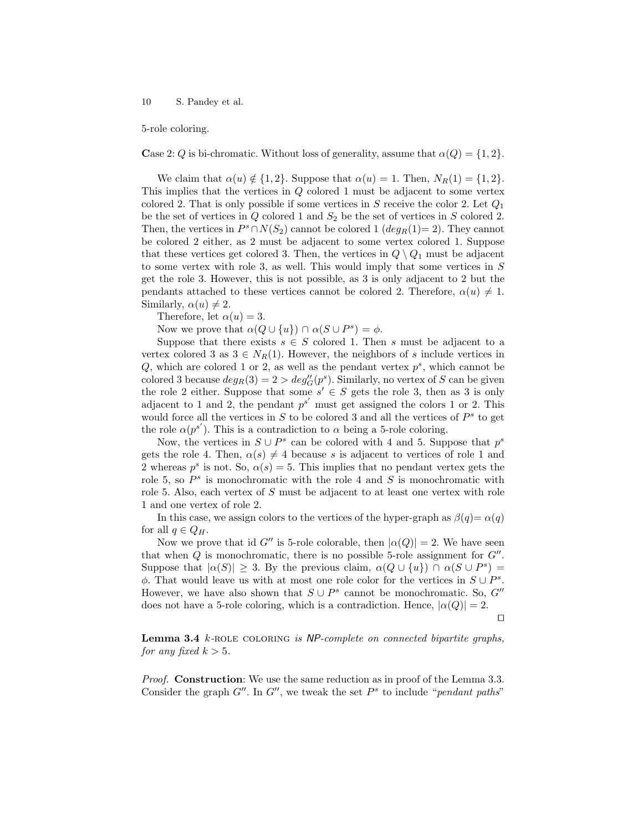5-role coloring.

Case 2: Q is bi-chromatic. Without loss of generality, assume that  $\alpha(Q) = \{1, 2\}.$ 

We claim that  $\alpha(u) \notin \{1,2\}$ . Suppose that  $\alpha(u) = 1$ . Then,  $N_R(1) = \{1,2\}$ . This implies that the vertices in Q colored 1 must be adjacent to some vertex colored 2. That is only possible if some vertices in S receive the color 2. Let  $Q_1$ be the set of vertices in  $Q$  colored 1 and  $S_2$  be the set of vertices in  $S$  colored 2. Then, the vertices in  $P^s \cap N(S_2)$  cannot be colored 1  $(deg_R(1) = 2)$ . They cannot be colored 2 either, as 2 must be adjacent to some vertex colored 1. Suppose that these vertices get colored 3. Then, the vertices in  $Q \setminus Q_1$  must be adjacent to some vertex with role 3, as well. This would imply that some vertices in S get the role 3. However, this is not possible, as 3 is only adjacent to 2 but the pendants attached to these vertices cannot be colored 2. Therefore,  $\alpha(u) \neq 1$ . Similarly,  $\alpha(u) \neq 2$ .

Therefore, let  $\alpha(u) = 3$ .

Now we prove that  $\alpha(Q \cup \{u\}) \cap \alpha(S \cup P^s) = \phi$ .

Suppose that there exists  $s \in S$  colored 1. Then s must be adjacent to a vertex colored 3 as  $3 \in N_R(1)$ . However, the neighbors of s include vertices in Q, which are colored 1 or 2, as well as the pendant vertex  $p^s$ , which cannot be colored 3 because  $deg_R(3) = 2 > deg_G''(p^s)$ . Similarly, no vertex of S can be given the role 2 either. Suppose that some  $s' \in S$  gets the role 3, then as 3 is only adjacent to 1 and 2, the pendant  $p^{s'}$  must get assigned the colors 1 or 2. This would force all the vertices in  $S$  to be colored 3 and all the vertices of  $P^s$  to get the role  $\alpha(p^{s'})$ . This is a contradiction to  $\alpha$  being a 5-role coloring.

Now, the vertices in  $S \cup P^s$  can be colored with 4 and 5. Suppose that  $p^s$ gets the role 4. Then,  $\alpha(s) \neq 4$  because s is adjacent to vertices of role 1 and 2 whereas  $p^s$  is not. So,  $\alpha(s) = 5$ . This implies that no pendant vertex gets the role 5, so  $P^s$  is monochromatic with the role 4 and S is monochromatic with role 5. Also, each vertex of S must be adjacent to at least one vertex with role 1 and one vertex of role 2.

In this case, we assign colors to the vertices of the hyper-graph as  $\beta(q) = \alpha(q)$ for all  $q \in Q_H$ .

Now we prove that id G'' is 5-role colorable, then  $|\alpha(Q)| = 2$ . We have seen that when  $Q$  is monochromatic, there is no possible 5-role assignment for  $G''$ . Suppose that  $|\alpha(S)| \geq 3$ . By the previous claim,  $\alpha(Q \cup \{u\}) \cap \alpha(S \cup P^s) =$  $\phi$ . That would leave us with at most one role color for the vertices in  $S \cup P^s$ . However, we have also shown that  $S \cup P^s$  cannot be monochromatic. So, G'' does not have a 5-role coloring, which is a contradiction. Hence,  $|\alpha(Q)| = 2$ .

 $\Box$ 

<span id="page-9-0"></span>**Lemma 3.4**  $k$ -ROLE COLORING is  $NP$ -complete on connected bipartite graphs, for any fixed  $k > 5$ .

Proof. **Construction**: We use the same reduction as in proof of the Lemma 3.3. Consider the graph  $G''$ . In  $G''$ , we tweak the set  $P^s$  to include "pendant paths"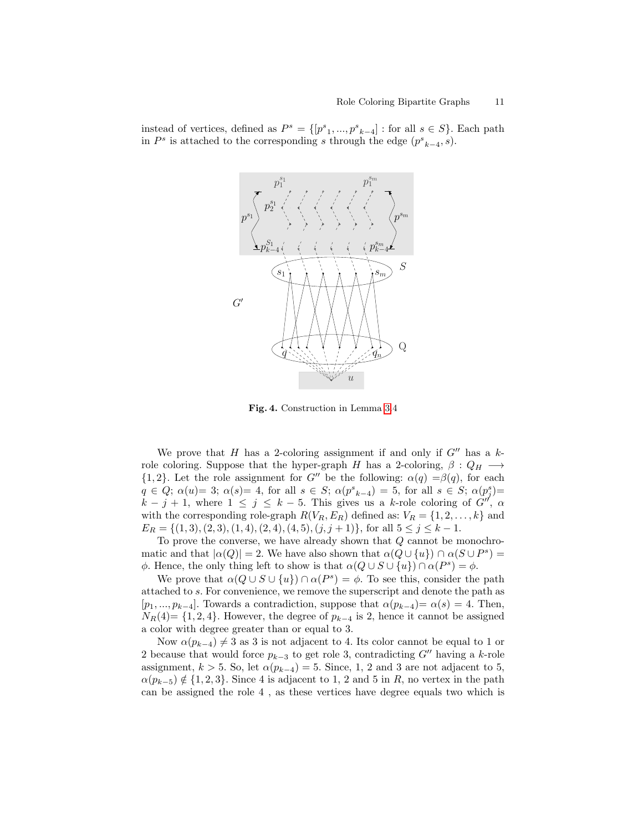instead of vertices, defined as  $P^s = \{[p^s_1, ..., p^s_{k-4}] : \text{for all } s \in S\}$ . Each path in  $P^s$  is attached to the corresponding s through the edge  $(p^s_{k-4}, s)$ .



<span id="page-10-0"></span>Fig. 4. Construction in Lemma [3.](#page-9-0)4

We prove that H has a 2-coloring assignment if and only if  $G''$  has a krole coloring. Suppose that the hyper-graph H has a 2-coloring,  $\beta: Q_H \longrightarrow$  ${1, 2}$ . Let the role assignment for G'' be the following:  $\alpha(q) = \beta(q)$ , for each  $q \in Q$ ;  $\alpha(u) = 3$ ;  $\alpha(s) = 4$ , for all  $s \in S$ ;  $\alpha(p^s_{k-4}) = 5$ , for all  $s \in S$ ;  $\alpha(p^s_j) =$  $k - j + 1$ , where  $1 \leq j \leq k - 5$ . This gives us a k-role coloring of  $G''$ ,  $\alpha$ with the corresponding role-graph  $R(V_R, E_R)$  defined as:  $V_R = \{1, 2, ..., k\}$  and  $E_R = \{(1,3), (2,3), (1,4), (2,4), (4,5), (j,j+1)\},$  for all  $5 \leq j \leq k-1$ .

To prove the converse, we have already shown that  $Q$  cannot be monochromatic and that  $|\alpha(Q)| = 2$ . We have also shown that  $\alpha(Q \cup \{u\}) \cap \alpha(S \cup P^s) =$  $\phi$ . Hence, the only thing left to show is that  $\alpha(Q \cup S \cup \{u\}) \cap \alpha(P^s) = \phi$ .

We prove that  $\alpha(Q \cup S \cup \{u\}) \cap \alpha(P^s) = \phi$ . To see this, consider the path attached to s. For convenience, we remove the superscript and denote the path as  $[p_1, ..., p_{k-4}]$ . Towards a contradiction, suppose that  $\alpha(p_{k-4}) = \alpha(s) = 4$ . Then,  $N_R(4)$ = {1, 2, 4}. However, the degree of  $p_{k-4}$  is 2, hence it cannot be assigned a color with degree greater than or equal to 3.

Now  $\alpha(p_{k-4}) \neq 3$  as 3 is not adjacent to 4. Its color cannot be equal to 1 or 2 because that would force  $p_{k-3}$  to get role 3, contradicting G<sup>n</sup> having a k-role assignment,  $k > 5$ . So, let  $\alpha(p_{k-4}) = 5$ . Since, 1, 2 and 3 are not adjacent to 5,  $\alpha(p_{k-5}) \notin \{1,2,3\}$ . Since 4 is adjacent to 1, 2 and 5 in R, no vertex in the path can be assigned the role 4 , as these vertices have degree equals two which is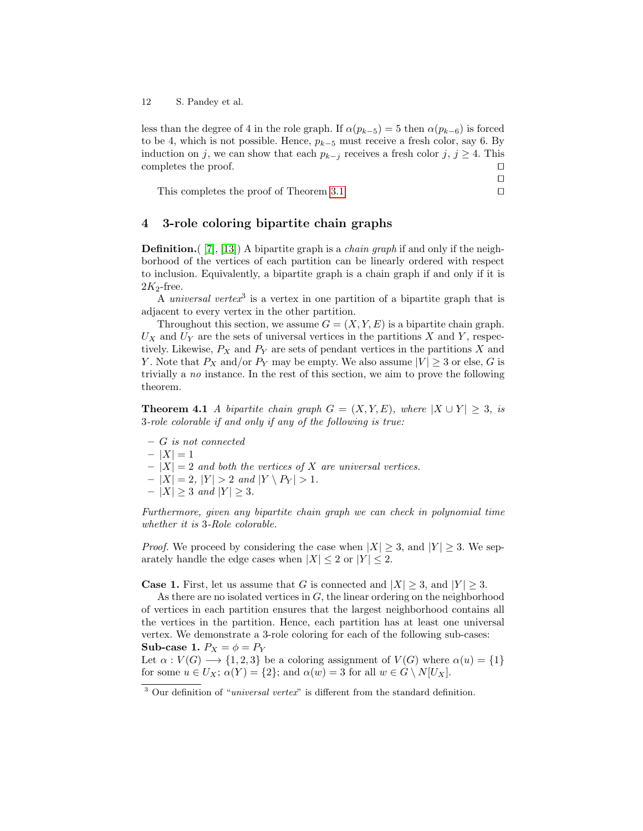less than the degree of 4 in the role graph. If  $\alpha(p_{k-5}) = 5$  then  $\alpha(p_{k-6})$  is forced to be 4, which is not possible. Hence,  $p_{k-5}$  must receive a fresh color, say 6. By induction on j, we can show that each  $p_{k-j}$  receives a fresh color j,  $j \geq 4$ . This completes the proof.  $\Box$ 

This completes the proof of Theorem [3.1](#page-3-2)  $\Box$ 

 $\Box$ 

### <span id="page-11-0"></span>4 3-role coloring bipartite chain graphs

**Definition.**  $(7, 13)$  A bipartite graph is a *chain graph* if and only if the neighborhood of the vertices of each partition can be linearly ordered with respect to inclusion. Equivalently, a bipartite graph is a chain graph if and only if it is  $2K_2$ -free.

A universal vertex<sup>3</sup> is a vertex in one partition of a bipartite graph that is adjacent to every vertex in the other partition.

Throughout this section, we assume  $G = (X, Y, E)$  is a bipartite chain graph.  $U_X$  and  $U_Y$  are the sets of universal vertices in the partitions X and Y, respectively. Likewise,  $P_X$  and  $P_Y$  are sets of pendant vertices in the partitions X and Y. Note that  $P_X$  and/or  $P_Y$  may be empty. We also assume  $|V| \geq 3$  or else, G is trivially a no instance. In the rest of this section, we aim to prove the following theorem.

**Theorem 4.1** A bipartite chain graph  $G = (X, Y, E)$ , where  $|X \cup Y| \geq 3$ , is 3-role colorable if and only if any of the following is true:

- G is not connected
- $-|X|=1$
- $-|X| = 2$  and both the vertices of X are universal vertices.
- $-|X| = 2, |Y| > 2 \text{ and } |Y \setminus P_Y| > 1.$
- |X| ≥ 3 and |Y| ≥ 3.

Furthermore, given any bipartite chain graph we can check in polynomial time whether it is 3-Role colorable.

*Proof.* We proceed by considering the case when  $|X| \geq 3$ , and  $|Y| \geq 3$ . We separately handle the edge cases when  $|X| \leq 2$  or  $|Y| \leq 2$ .

**Case 1.** First, let us assume that G is connected and  $|X| > 3$ , and  $|Y| > 3$ .

As there are no isolated vertices in  $G$ , the linear ordering on the neighborhood of vertices in each partition ensures that the largest neighborhood contains all the vertices in the partition. Hence, each partition has at least one universal vertex. We demonstrate a 3-role coloring for each of the following sub-cases: Sub-case 1.  $P_X = \phi = P_Y$ 

Let  $\alpha: V(G) \longrightarrow \{1, 2, 3\}$  be a coloring assignment of  $V(G)$  where  $\alpha(u) = \{1\}$ for some  $u \in U_X$ ;  $\alpha(Y) = \{2\}$ ; and  $\alpha(w) = 3$  for all  $w \in G \setminus N[U_X]$ .

<sup>&</sup>lt;sup>3</sup> Our definition of "universal vertex" is different from the standard definition.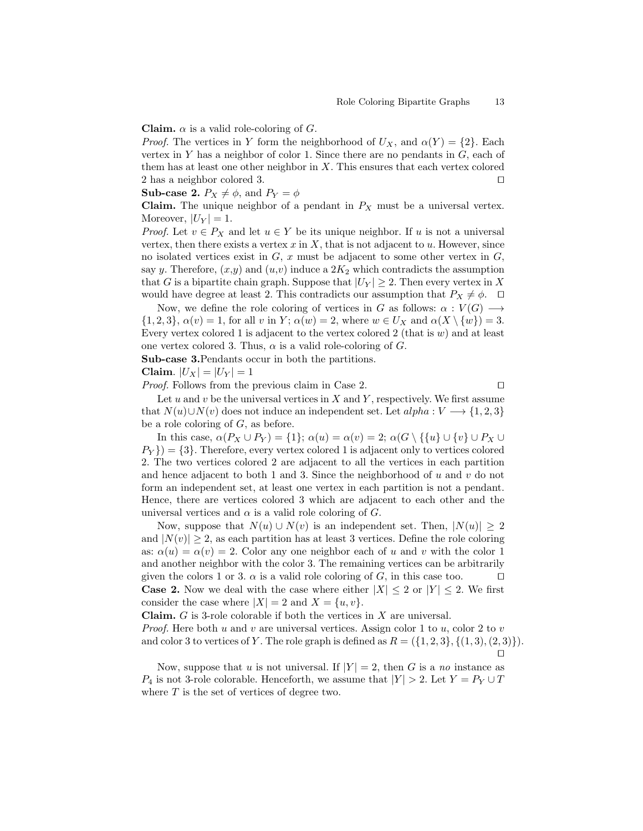**Claim.**  $\alpha$  is a valid role-coloring of G.

*Proof.* The vertices in Y form the neighborhood of  $U_X$ , and  $\alpha(Y) = \{2\}$ . Each vertex in Y has a neighbor of color 1. Since there are no pendants in  $G$ , each of them has at least one other neighbor in  $X$ . This ensures that each vertex colored 2 has a neighbor colored 3.  $\Box$ 

**Sub-case 2.**  $P_X \neq \phi$ , and  $P_Y = \phi$ 

**Claim.** The unique neighbor of a pendant in  $P_X$  must be a universal vertex. Moreover,  $|U_Y|=1$ .

*Proof.* Let  $v \in P_X$  and let  $u \in Y$  be its unique neighbor. If u is not a universal vertex, then there exists a vertex  $x$  in  $X$ , that is not adjacent to  $u$ . However, since no isolated vertices exist in  $G, x$  must be adjacent to some other vertex in  $G$ , say y. Therefore,  $(x,y)$  and  $(u,v)$  induce a  $2K_2$  which contradicts the assumption that G is a bipartite chain graph. Suppose that  $|U_Y| \geq 2$ . Then every vertex in X would have degree at least 2. This contradicts our assumption that  $P_X \neq \phi$ .  $\Box$ 

Now, we define the role coloring of vertices in G as follows:  $\alpha: V(G) \longrightarrow$  $\{1,2,3\}, \alpha(v) = 1$ , for all v in Y;  $\alpha(w) = 2$ , where  $w \in U_X$  and  $\alpha(X \setminus \{w\}) = 3$ . Every vertex colored 1 is adjacent to the vertex colored 2 (that is  $w$ ) and at least one vertex colored 3. Thus,  $\alpha$  is a valid role-coloring of G.

Sub-case 3.Pendants occur in both the partitions.

$$
Claim. |U_X| = |U_Y| = 1
$$

*Proof.* Follows from the previous claim in Case 2.  $\Box$ 

Let u and v be the universal vertices in  $X$  and  $Y$ , respectively. We first assume that  $N(u) \cup N(v)$  does not induce an independent set. Let  $alpha : V \longrightarrow \{1, 2, 3\}$ be a role coloring of  $G$ , as before.

In this case,  $\alpha(P_X \cup P_Y) = \{1\}$ ;  $\alpha(u) = \alpha(v) = 2$ ;  $\alpha(G \setminus \{\{u\} \cup \{v\} \cup P_X \cup P_Y\})$  $P_Y$ }) = {3}. Therefore, every vertex colored 1 is adjacent only to vertices colored 2. The two vertices colored 2 are adjacent to all the vertices in each partition and hence adjacent to both 1 and 3. Since the neighborhood of  $u$  and  $v$  do not form an independent set, at least one vertex in each partition is not a pendant. Hence, there are vertices colored 3 which are adjacent to each other and the universal vertices and  $\alpha$  is a valid role coloring of G.

Now, suppose that  $N(u) \cup N(v)$  is an independent set. Then,  $|N(u)| \geq 2$ and  $|N(v)| \geq 2$ , as each partition has at least 3 vertices. Define the role coloring as:  $\alpha(u) = \alpha(v) = 2$ . Color any one neighbor each of u and v with the color 1 and another neighbor with the color 3. The remaining vertices can be arbitrarily given the colors 1 or 3.  $\alpha$  is a valid role coloring of G, in this case too.  $\Box$ **Case 2.** Now we deal with the case where either  $|X| \leq 2$  or  $|Y| \leq 2$ . We first consider the case where  $|X| = 2$  and  $X = \{u, v\}.$ 

Claim. G is 3-role colorable if both the vertices in X are universal.

*Proof.* Here both u and v are universal vertices. Assign color 1 to u, color 2 to v and color 3 to vertices of Y. The role graph is defined as  $R = (\{1, 2, 3\}, \{(1, 3), (2, 3)\})$ .  $\Box$ 

Now, suppose that u is not universal. If  $|Y| = 2$ , then G is a no instance as  $P_4$  is not 3-role colorable. Henceforth, we assume that  $|Y| > 2$ . Let  $Y = P_Y \cup T$ where  $T$  is the set of vertices of degree two.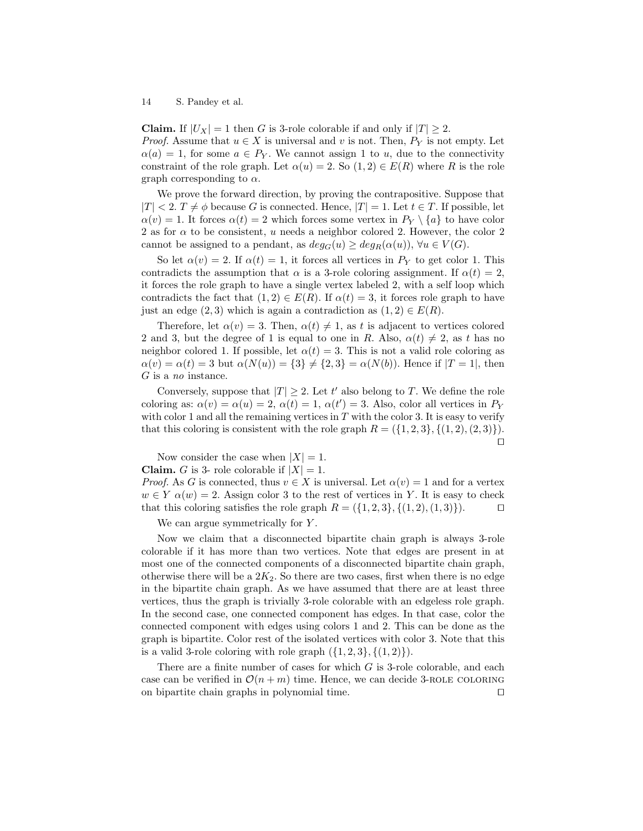**Claim.** If  $|U_X| = 1$  then G is 3-role colorable if and only if  $|T| \geq 2$ . *Proof.* Assume that  $u \in X$  is universal and v is not. Then,  $P_Y$  is not empty. Let  $\alpha(a) = 1$ , for some  $a \in P_Y$ . We cannot assign 1 to u, due to the connectivity constraint of the role graph. Let  $\alpha(u) = 2$ . So  $(1, 2) \in E(R)$  where R is the role graph corresponding to  $\alpha$ .

We prove the forward direction, by proving the contrapositive. Suppose that  $|T| < 2$ .  $T \neq \phi$  because G is connected. Hence,  $|T| = 1$ . Let  $t \in T$ . If possible, let  $\alpha(v) = 1$ . It forces  $\alpha(t) = 2$  which forces some vertex in  $P_Y \setminus \{a\}$  to have color 2 as for  $\alpha$  to be consistent, u needs a neighbor colored 2. However, the color 2 cannot be assigned to a pendant, as  $deg_G(u) \geq deg_R(\alpha(u))$ ,  $\forall u \in V(G)$ .

So let  $\alpha(v) = 2$ . If  $\alpha(t) = 1$ , it forces all vertices in  $P_Y$  to get color 1. This contradicts the assumption that  $\alpha$  is a 3-role coloring assignment. If  $\alpha(t) = 2$ , it forces the role graph to have a single vertex labeled 2, with a self loop which contradicts the fact that  $(1, 2) \in E(R)$ . If  $\alpha(t) = 3$ , it forces role graph to have just an edge  $(2,3)$  which is again a contradiction as  $(1,2) \in E(R)$ .

Therefore, let  $\alpha(v) = 3$ . Then,  $\alpha(t) \neq 1$ , as t is adjacent to vertices colored 2 and 3, but the degree of 1 is equal to one in R. Also,  $\alpha(t) \neq 2$ , as t has no neighbor colored 1. If possible, let  $\alpha(t) = 3$ . This is not a valid role coloring as  $\alpha(v) = \alpha(t) = 3$  but  $\alpha(N(u)) = \{3\} \neq \{2, 3\} = \alpha(N(b)).$  Hence if  $|T = 1|$ , then G is a no instance.

Conversely, suppose that  $|T| \geq 2$ . Let t' also belong to T. We define the role coloring as:  $\alpha(v) = \alpha(u) = 2$ ,  $\alpha(t) = 1$ ,  $\alpha(t') = 3$ . Also, color all vertices in  $P_Y$ with color 1 and all the remaining vertices in  $T$  with the color 3. It is easy to verify that this coloring is consistent with the role graph  $R = (\{1, 2, 3\}, \{(1, 2), (2, 3)\}).$  $\Box$ 

Now consider the case when  $|X| = 1$ .

**Claim.** G is 3- role colorable if  $|X| = 1$ .

*Proof.* As G is connected, thus  $v \in X$  is universal. Let  $\alpha(v) = 1$  and for a vertex  $w \in Y$   $\alpha(w) = 2$ . Assign color 3 to the rest of vertices in Y. It is easy to check that this coloring satisfies the role graph  $R = (\{1, 2, 3\}, \{(1, 2), (1, 3)\})$ .

We can argue symmetrically for Y.

Now we claim that a disconnected bipartite chain graph is always 3-role colorable if it has more than two vertices. Note that edges are present in at most one of the connected components of a disconnected bipartite chain graph, otherwise there will be a  $2K_2$ . So there are two cases, first when there is no edge in the bipartite chain graph. As we have assumed that there are at least three vertices, thus the graph is trivially 3-role colorable with an edgeless role graph. In the second case, one connected component has edges. In that case, color the connected component with edges using colors 1 and 2. This can be done as the graph is bipartite. Color rest of the isolated vertices with color 3. Note that this is a valid 3-role coloring with role graph  $({1, 2, 3}, ({1, 2})$ .

There are a finite number of cases for which  $G$  is 3-role colorable, and each case can be verified in  $\mathcal{O}(n+m)$  time. Hence, we can decide 3-ROLE COLORING on bipartite chain graphs in polynomial time.  $\Box$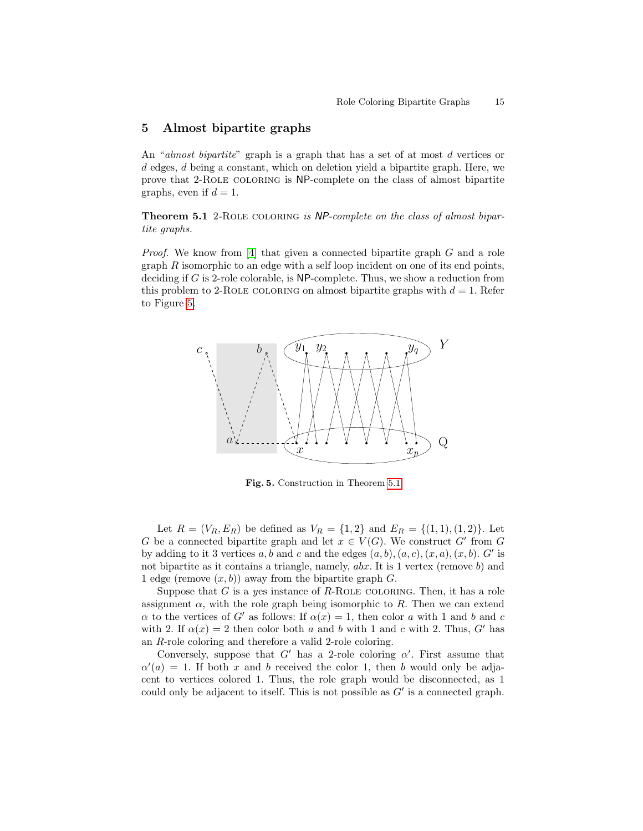### <span id="page-14-0"></span>5 Almost bipartite graphs

An "almost bipartite" graph is a graph that has a set of at most d vertices or d edges, d being a constant, which on deletion yield a bipartite graph. Here, we prove that 2-Role coloring is NP-complete on the class of almost bipartite graphs, even if  $d = 1$ .

<span id="page-14-2"></span>Theorem 5.1 2-Role coloring is NP-complete on the class of almost bipartite graphs.

Proof. We know from [\[4\]](#page-15-0) that given a connected bipartite graph G and a role graph  $R$  isomorphic to an edge with a self loop incident on one of its end points, deciding if G is 2-role colorable, is NP-complete. Thus, we show a reduction from this problem to 2-ROLE COLORING on almost bipartite graphs with  $d = 1$ . Refer to Figure [5.](#page-14-1)



<span id="page-14-1"></span>Fig. 5. Construction in Theorem [5.1](#page-14-2)

Let  $R = (V_R, E_R)$  be defined as  $V_R = \{1, 2\}$  and  $E_R = \{(1, 1), (1, 2)\}$ . Let G be a connected bipartite graph and let  $x \in V(G)$ . We construct G' from G by adding to it 3 vertices a, b and c and the edges  $(a, b), (a, c), (x, a), (x, b)$ . G' is not bipartite as it contains a triangle, namely, abx. It is 1 vertex (remove b) and 1 edge (remove  $(x, b)$ ) away from the bipartite graph G.

Suppose that G is a yes instance of R-ROLE COLORING. Then, it has a role assignment  $\alpha$ , with the role graph being isomorphic to R. Then we can extend  $\alpha$  to the vertices of G' as follows: If  $\alpha(x) = 1$ , then color a with 1 and b and c with 2. If  $\alpha(x) = 2$  then color both a and b with 1 and c with 2. Thus, G' has an R-role coloring and therefore a valid 2-role coloring.

Conversely, suppose that  $G'$  has a 2-role coloring  $\alpha'$ . First assume that  $\alpha'(a) = 1$ . If both x and b received the color 1, then b would only be adjacent to vertices colored 1. Thus, the role graph would be disconnected, as 1 could only be adjacent to itself. This is not possible as  $G'$  is a connected graph.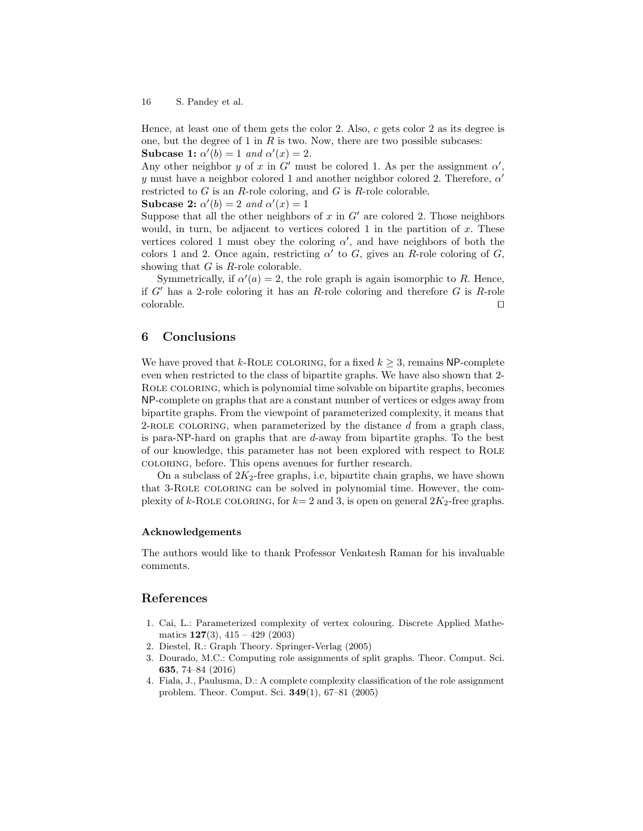Hence, at least one of them gets the color 2. Also,  $c$  gets color 2 as its degree is one, but the degree of 1 in  $R$  is two. Now, there are two possible subcases: Subcase 1:  $\alpha'(b) = 1$  and  $\alpha'(x) = 2$ .

Any other neighbor y of x in  $G'$  must be colored 1. As per the assignment  $\alpha'$ , y must have a neighbor colored 1 and another neighbor colored 2. Therefore,  $\alpha'$ restricted to  $G$  is an  $R$ -role coloring, and  $G$  is  $R$ -role colorable.

Subcase 2:  $\alpha'(b) = 2$  and  $\alpha'(x) = 1$ 

Suppose that all the other neighbors of x in  $G'$  are colored 2. Those neighbors would, in turn, be adjacent to vertices colored 1 in the partition of  $x$ . These vertices colored 1 must obey the coloring  $\alpha'$ , and have neighbors of both the colors 1 and 2. Once again, restricting  $\alpha'$  to G, gives an R-role coloring of G, showing that  $G$  is  $R$ -role colorable.

Symmetrically, if  $\alpha'(a) = 2$ , the role graph is again isomorphic to R. Hence, if  $G'$  has a 2-role coloring it has an R-role coloring and therefore G is R-role  $\Box$ colorable.  $\Box$ 

## 6 Conclusions

We have proved that k-ROLE COLORING, for a fixed  $k \geq 3$ , remains NP-complete even when restricted to the class of bipartite graphs. We have also shown that 2- Role coloring, which is polynomial time solvable on bipartite graphs, becomes NP-complete on graphs that are a constant number of vertices or edges away from bipartite graphs. From the viewpoint of parameterized complexity, it means that 2-ROLE COLORING, when parameterized by the distance  $d$  from a graph class, is para-NP-hard on graphs that are d-away from bipartite graphs. To the best of our knowledge, this parameter has not been explored with respect to Role coloring, before. This opens avenues for further research.

On a subclass of  $2K_2$ -free graphs, i.e, bipartite chain graphs, we have shown that 3-Role coloring can be solved in polynomial time. However, the complexity of k-ROLE COLORING, for  $k=2$  and 3, is open on general  $2K_2$ -free graphs.

#### Acknowledgements

The authors would like to thank Professor Venkatesh Raman for his invaluable comments.

#### References

- <span id="page-15-2"></span>1. Cai, L.: Parameterized complexity of vertex colouring. Discrete Applied Mathematics  $127(3)$ ,  $415 - 429(2003)$
- <span id="page-15-3"></span>2. Diestel, R.: Graph Theory. Springer-Verlag (2005)
- <span id="page-15-1"></span>3. Dourado, M.C.: Computing role assignments of split graphs. Theor. Comput. Sci. 635, 74–84 (2016)
- <span id="page-15-0"></span>4. Fiala, J., Paulusma, D.: A complete complexity classification of the role assignment problem. Theor. Comput. Sci. 349(1), 67–81 (2005)